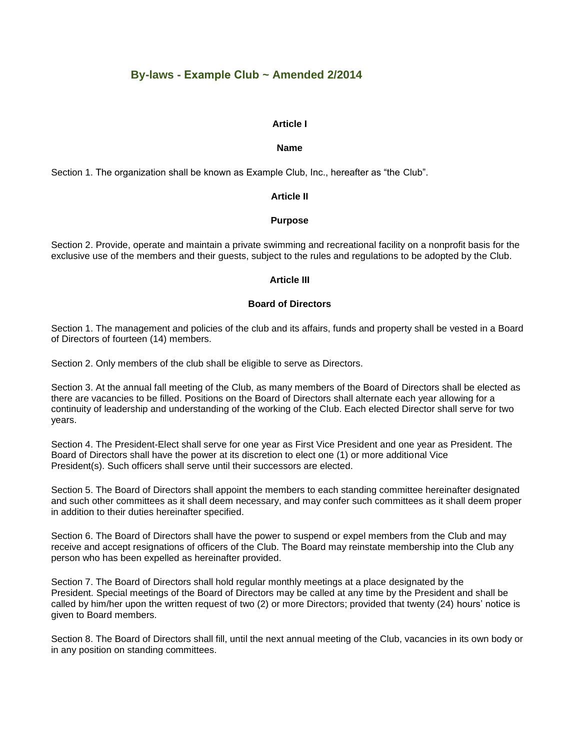# **By-laws - Example Club ~ Amended 2/2014**

### **Article I**

### **Name**

Section 1. The organization shall be known as Example Club, Inc., hereafter as "the Club".

### **Article II**

### **Purpose**

Section 2. Provide, operate and maintain a private swimming and recreational facility on a nonprofit basis for the exclusive use of the members and their guests, subject to the rules and regulations to be adopted by the Club.

### **Article III**

# **Board of Directors**

Section 1. The management and policies of the club and its affairs, funds and property shall be vested in a Board of Directors of fourteen (14) members.

Section 2. Only members of the club shall be eligible to serve as Directors.

Section 3. At the annual fall meeting of the Club, as many members of the Board of Directors shall be elected as there are vacancies to be filled. Positions on the Board of Directors shall alternate each year allowing for a continuity of leadership and understanding of the working of the Club. Each elected Director shall serve for two years.

Section 4. The President-Elect shall serve for one year as First Vice President and one year as President. The Board of Directors shall have the power at its discretion to elect one (1) or more additional Vice President(s). Such officers shall serve until their successors are elected.

Section 5. The Board of Directors shall appoint the members to each standing committee hereinafter designated and such other committees as it shall deem necessary, and may confer such committees as it shall deem proper in addition to their duties hereinafter specified.

Section 6. The Board of Directors shall have the power to suspend or expel members from the Club and may receive and accept resignations of officers of the Club. The Board may reinstate membership into the Club any person who has been expelled as hereinafter provided.

Section 7. The Board of Directors shall hold regular monthly meetings at a place designated by the President. Special meetings of the Board of Directors may be called at any time by the President and shall be called by him/her upon the written request of two (2) or more Directors; provided that twenty (24) hours' notice is given to Board members.

Section 8. The Board of Directors shall fill, until the next annual meeting of the Club, vacancies in its own body or in any position on standing committees.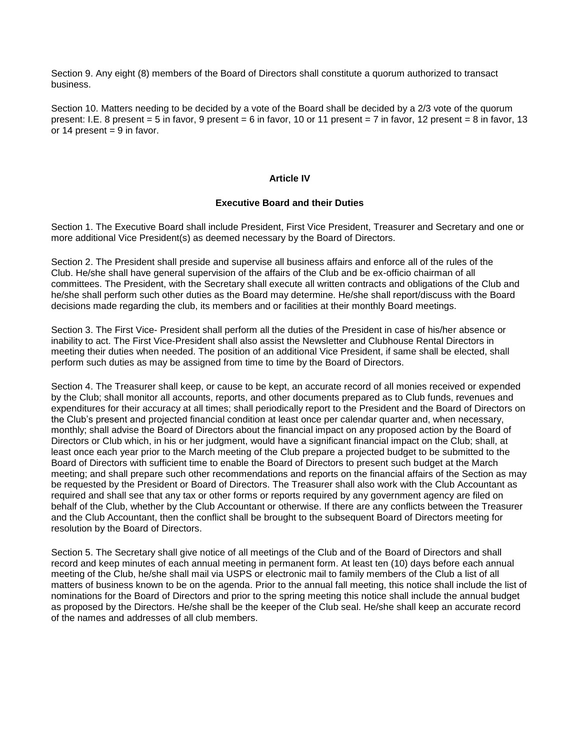Section 9. Any eight (8) members of the Board of Directors shall constitute a quorum authorized to transact business.

Section 10. Matters needing to be decided by a vote of the Board shall be decided by a 2/3 vote of the quorum present: I.E. 8 present = 5 in favor, 9 present = 6 in favor, 10 or 11 present = 7 in favor, 12 present = 8 in favor, 13 or 14 present  $= 9$  in favor.

### **Article IV**

### **Executive Board and their Duties**

Section 1. The Executive Board shall include President, First Vice President, Treasurer and Secretary and one or more additional Vice President(s) as deemed necessary by the Board of Directors.

Section 2. The President shall preside and supervise all business affairs and enforce all of the rules of the Club. He/she shall have general supervision of the affairs of the Club and be ex-officio chairman of all committees. The President, with the Secretary shall execute all written contracts and obligations of the Club and he/she shall perform such other duties as the Board may determine. He/she shall report/discuss with the Board decisions made regarding the club, its members and or facilities at their monthly Board meetings.

Section 3. The First Vice- President shall perform all the duties of the President in case of his/her absence or inability to act. The First Vice-President shall also assist the Newsletter and Clubhouse Rental Directors in meeting their duties when needed. The position of an additional Vice President, if same shall be elected, shall perform such duties as may be assigned from time to time by the Board of Directors.

Section 4. The Treasurer shall keep, or cause to be kept, an accurate record of all monies received or expended by the Club; shall monitor all accounts, reports, and other documents prepared as to Club funds, revenues and expenditures for their accuracy at all times; shall periodically report to the President and the Board of Directors on the Club's present and projected financial condition at least once per calendar quarter and, when necessary, monthly; shall advise the Board of Directors about the financial impact on any proposed action by the Board of Directors or Club which, in his or her judgment, would have a significant financial impact on the Club; shall, at least once each year prior to the March meeting of the Club prepare a projected budget to be submitted to the Board of Directors with sufficient time to enable the Board of Directors to present such budget at the March meeting; and shall prepare such other recommendations and reports on the financial affairs of the Section as may be requested by the President or Board of Directors. The Treasurer shall also work with the Club Accountant as required and shall see that any tax or other forms or reports required by any government agency are filed on behalf of the Club, whether by the Club Accountant or otherwise. If there are any conflicts between the Treasurer and the Club Accountant, then the conflict shall be brought to the subsequent Board of Directors meeting for resolution by the Board of Directors.

Section 5. The Secretary shall give notice of all meetings of the Club and of the Board of Directors and shall record and keep minutes of each annual meeting in permanent form. At least ten (10) days before each annual meeting of the Club, he/she shall mail via USPS or electronic mail to family members of the Club a list of all matters of business known to be on the agenda. Prior to the annual fall meeting, this notice shall include the list of nominations for the Board of Directors and prior to the spring meeting this notice shall include the annual budget as proposed by the Directors. He/she shall be the keeper of the Club seal. He/she shall keep an accurate record of the names and addresses of all club members.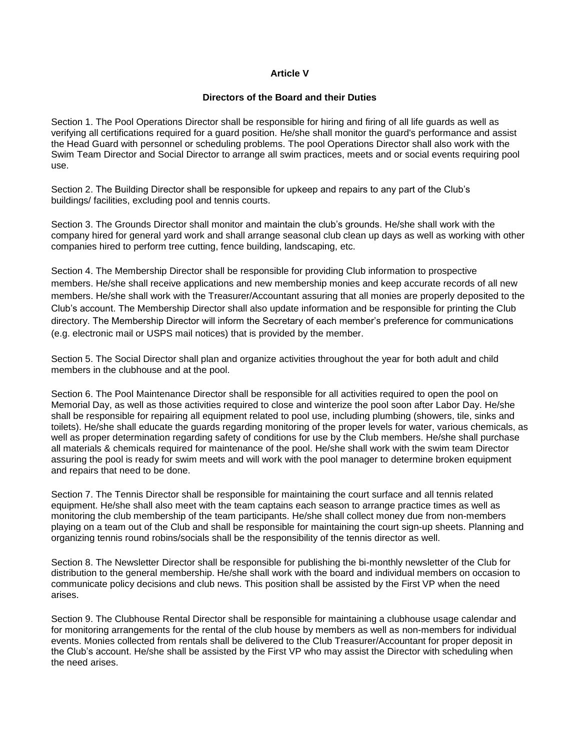# **Article V**

### **Directors of the Board and their Duties**

Section 1. The Pool Operations Director shall be responsible for hiring and firing of all life guards as well as verifying all certifications required for a guard position. He/she shall monitor the guard's performance and assist the Head Guard with personnel or scheduling problems. The pool Operations Director shall also work with the Swim Team Director and Social Director to arrange all swim practices, meets and or social events requiring pool use.

Section 2. The Building Director shall be responsible for upkeep and repairs to any part of the Club's buildings/ facilities, excluding pool and tennis courts.

Section 3. The Grounds Director shall monitor and maintain the club's grounds. He/she shall work with the company hired for general yard work and shall arrange seasonal club clean up days as well as working with other companies hired to perform tree cutting, fence building, landscaping, etc.

Section 4. The Membership Director shall be responsible for providing Club information to prospective members. He/she shall receive applications and new membership monies and keep accurate records of all new members. He/she shall work with the Treasurer/Accountant assuring that all monies are properly deposited to the Club's account. The Membership Director shall also update information and be responsible for printing the Club directory. The Membership Director will inform the Secretary of each member's preference for communications (e.g. electronic mail or USPS mail notices) that is provided by the member.

Section 5. The Social Director shall plan and organize activities throughout the year for both adult and child members in the clubhouse and at the pool.

Section 6. The Pool Maintenance Director shall be responsible for all activities required to open the pool on Memorial Day, as well as those activities required to close and winterize the pool soon after Labor Day. He/she shall be responsible for repairing all equipment related to pool use, including plumbing (showers, tile, sinks and toilets). He/she shall educate the guards regarding monitoring of the proper levels for water, various chemicals, as well as proper determination regarding safety of conditions for use by the Club members. He/she shall purchase all materials & chemicals required for maintenance of the pool. He/she shall work with the swim team Director assuring the pool is ready for swim meets and will work with the pool manager to determine broken equipment and repairs that need to be done.

Section 7. The Tennis Director shall be responsible for maintaining the court surface and all tennis related equipment. He/she shall also meet with the team captains each season to arrange practice times as well as monitoring the club membership of the team participants. He/she shall collect money due from non-members playing on a team out of the Club and shall be responsible for maintaining the court sign-up sheets. Planning and organizing tennis round robins/socials shall be the responsibility of the tennis director as well.

Section 8. The Newsletter Director shall be responsible for publishing the bi-monthly newsletter of the Club for distribution to the general membership. He/she shall work with the board and individual members on occasion to communicate policy decisions and club news. This position shall be assisted by the First VP when the need arises.

Section 9. The Clubhouse Rental Director shall be responsible for maintaining a clubhouse usage calendar and for monitoring arrangements for the rental of the club house by members as well as non-members for individual events. Monies collected from rentals shall be delivered to the Club Treasurer/Accountant for proper deposit in the Club's account. He/she shall be assisted by the First VP who may assist the Director with scheduling when the need arises.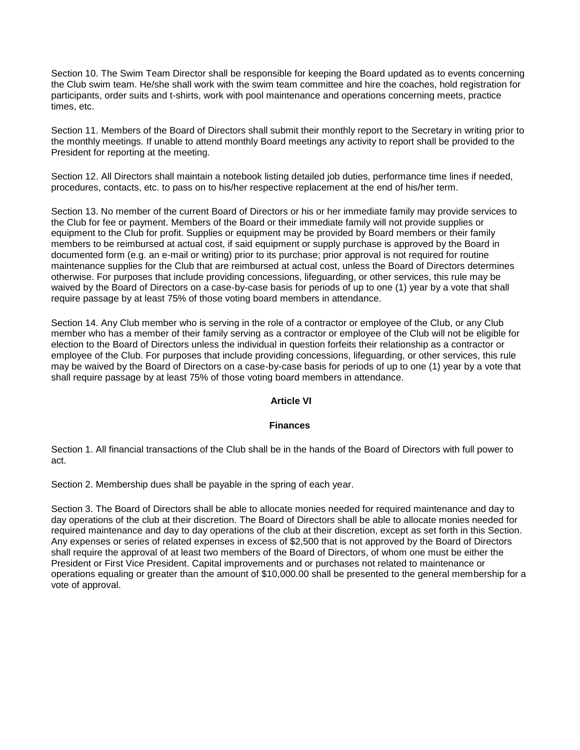Section 10. The Swim Team Director shall be responsible for keeping the Board updated as to events concerning the Club swim team. He/she shall work with the swim team committee and hire the coaches, hold registration for participants, order suits and t-shirts, work with pool maintenance and operations concerning meets, practice times, etc.

Section 11. Members of the Board of Directors shall submit their monthly report to the Secretary in writing prior to the monthly meetings. If unable to attend monthly Board meetings any activity to report shall be provided to the President for reporting at the meeting.

Section 12. All Directors shall maintain a notebook listing detailed job duties, performance time lines if needed, procedures, contacts, etc. to pass on to his/her respective replacement at the end of his/her term.

Section 13. No member of the current Board of Directors or his or her immediate family may provide services to the Club for fee or payment. Members of the Board or their immediate family will not provide supplies or equipment to the Club for profit. Supplies or equipment may be provided by Board members or their family members to be reimbursed at actual cost, if said equipment or supply purchase is approved by the Board in documented form (e.g. an e-mail or writing) prior to its purchase; prior approval is not required for routine maintenance supplies for the Club that are reimbursed at actual cost, unless the Board of Directors determines otherwise. For purposes that include providing concessions, lifeguarding, or other services, this rule may be waived by the Board of Directors on a case-by-case basis for periods of up to one (1) year by a vote that shall require passage by at least 75% of those voting board members in attendance.

Section 14. Any Club member who is serving in the role of a contractor or employee of the Club, or any Club member who has a member of their family serving as a contractor or employee of the Club will not be eligible for election to the Board of Directors unless the individual in question forfeits their relationship as a contractor or employee of the Club. For purposes that include providing concessions, lifeguarding, or other services, this rule may be waived by the Board of Directors on a case-by-case basis for periods of up to one (1) year by a vote that shall require passage by at least 75% of those voting board members in attendance.

### **Article VI**

### **Finances**

Section 1. All financial transactions of the Club shall be in the hands of the Board of Directors with full power to act.

Section 2. Membership dues shall be payable in the spring of each year.

Section 3. The Board of Directors shall be able to allocate monies needed for required maintenance and day to day operations of the club at their discretion. The Board of Directors shall be able to allocate monies needed for required maintenance and day to day operations of the club at their discretion, except as set forth in this Section. Any expenses or series of related expenses in excess of \$2,500 that is not approved by the Board of Directors shall require the approval of at least two members of the Board of Directors, of whom one must be either the President or First Vice President. Capital improvements and or purchases not related to maintenance or operations equaling or greater than the amount of \$10,000.00 shall be presented to the general membership for a vote of approval.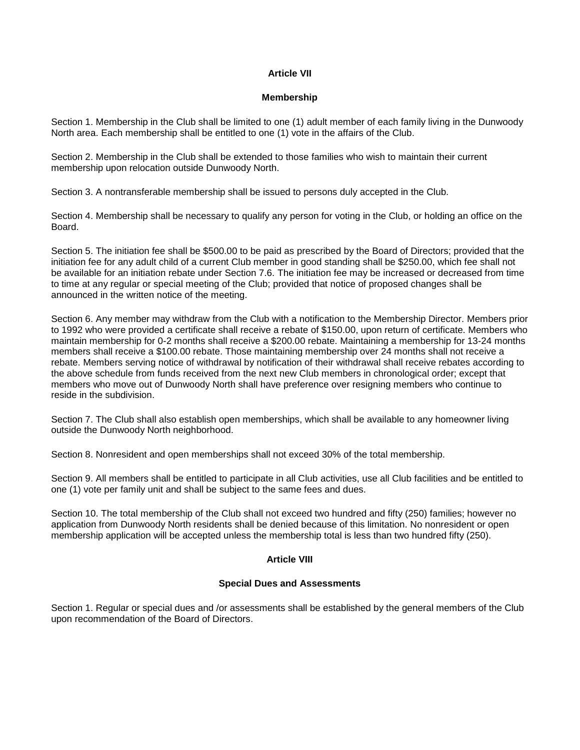# **Article VII**

### **Membership**

Section 1. Membership in the Club shall be limited to one (1) adult member of each family living in the Dunwoody North area. Each membership shall be entitled to one (1) vote in the affairs of the Club.

Section 2. Membership in the Club shall be extended to those families who wish to maintain their current membership upon relocation outside Dunwoody North.

Section 3. A nontransferable membership shall be issued to persons duly accepted in the Club.

Section 4. Membership shall be necessary to qualify any person for voting in the Club, or holding an office on the Board.

Section 5. The initiation fee shall be \$500.00 to be paid as prescribed by the Board of Directors; provided that the initiation fee for any adult child of a current Club member in good standing shall be \$250.00, which fee shall not be available for an initiation rebate under Section 7.6. The initiation fee may be increased or decreased from time to time at any regular or special meeting of the Club; provided that notice of proposed changes shall be announced in the written notice of the meeting.

Section 6. Any member may withdraw from the Club with a notification to the Membership Director. Members prior to 1992 who were provided a certificate shall receive a rebate of \$150.00, upon return of certificate. Members who maintain membership for 0-2 months shall receive a \$200.00 rebate. Maintaining a membership for 13-24 months members shall receive a \$100.00 rebate. Those maintaining membership over 24 months shall not receive a rebate. Members serving notice of withdrawal by notification of their withdrawal shall receive rebates according to the above schedule from funds received from the next new Club members in chronological order; except that members who move out of Dunwoody North shall have preference over resigning members who continue to reside in the subdivision.

Section 7. The Club shall also establish open memberships, which shall be available to any homeowner living outside the Dunwoody North neighborhood.

Section 8. Nonresident and open memberships shall not exceed 30% of the total membership.

Section 9. All members shall be entitled to participate in all Club activities, use all Club facilities and be entitled to one (1) vote per family unit and shall be subject to the same fees and dues.

Section 10. The total membership of the Club shall not exceed two hundred and fifty (250) families; however no application from Dunwoody North residents shall be denied because of this limitation. No nonresident or open membership application will be accepted unless the membership total is less than two hundred fifty (250).

# **Article VIII**

# **Special Dues and Assessments**

Section 1. Regular or special dues and /or assessments shall be established by the general members of the Club upon recommendation of the Board of Directors.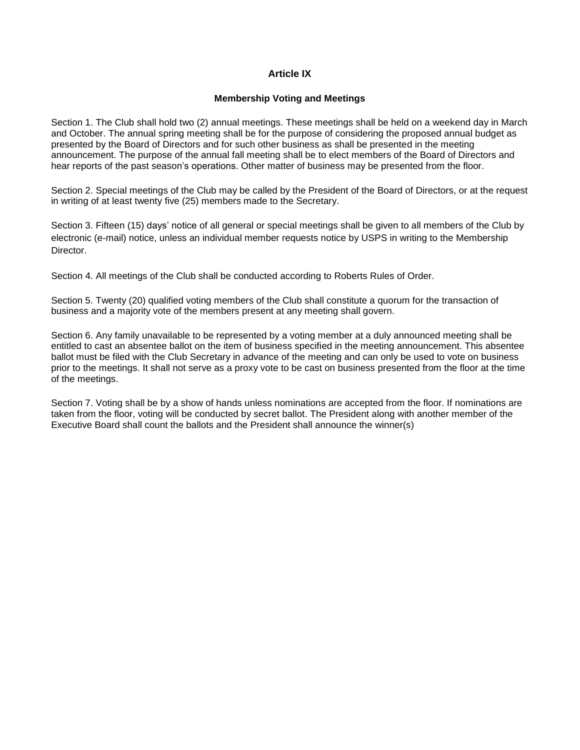# **Article IX**

### **Membership Voting and Meetings**

Section 1. The Club shall hold two (2) annual meetings. These meetings shall be held on a weekend day in March and October. The annual spring meeting shall be for the purpose of considering the proposed annual budget as presented by the Board of Directors and for such other business as shall be presented in the meeting announcement. The purpose of the annual fall meeting shall be to elect members of the Board of Directors and hear reports of the past season's operations. Other matter of business may be presented from the floor.

Section 2. Special meetings of the Club may be called by the President of the Board of Directors, or at the request in writing of at least twenty five (25) members made to the Secretary.

Section 3. Fifteen (15) days' notice of all general or special meetings shall be given to all members of the Club by electronic (e-mail) notice, unless an individual member requests notice by USPS in writing to the Membership Director.

Section 4. All meetings of the Club shall be conducted according to Roberts Rules of Order.

Section 5. Twenty (20) qualified voting members of the Club shall constitute a quorum for the transaction of business and a majority vote of the members present at any meeting shall govern.

Section 6. Any family unavailable to be represented by a voting member at a duly announced meeting shall be entitled to cast an absentee ballot on the item of business specified in the meeting announcement. This absentee ballot must be filed with the Club Secretary in advance of the meeting and can only be used to vote on business prior to the meetings. It shall not serve as a proxy vote to be cast on business presented from the floor at the time of the meetings.

Section 7. Voting shall be by a show of hands unless nominations are accepted from the floor. If nominations are taken from the floor, voting will be conducted by secret ballot. The President along with another member of the Executive Board shall count the ballots and the President shall announce the winner(s)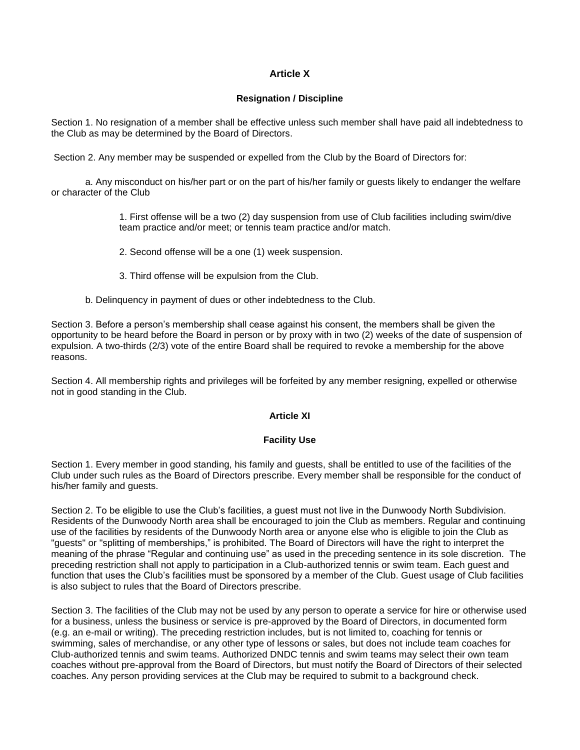# **Article X**

### **Resignation / Discipline**

Section 1. No resignation of a member shall be effective unless such member shall have paid all indebtedness to the Club as may be determined by the Board of Directors.

Section 2. Any member may be suspended or expelled from the Club by the Board of Directors for:

a. Any misconduct on his/her part or on the part of his/her family or guests likely to endanger the welfare or character of the Club

> 1. First offense will be a two (2) day suspension from use of Club facilities including swim/dive team practice and/or meet; or tennis team practice and/or match.

- 2. Second offense will be a one (1) week suspension.
- 3. Third offense will be expulsion from the Club.
- b. Delinquency in payment of dues or other indebtedness to the Club.

Section 3. Before a person's membership shall cease against his consent, the members shall be given the opportunity to be heard before the Board in person or by proxy with in two (2) weeks of the date of suspension of expulsion. A two-thirds (2/3) vote of the entire Board shall be required to revoke a membership for the above reasons.

Section 4. All membership rights and privileges will be forfeited by any member resigning, expelled or otherwise not in good standing in the Club.

# **Article XI**

### **Facility Use**

Section 1. Every member in good standing, his family and guests, shall be entitled to use of the facilities of the Club under such rules as the Board of Directors prescribe. Every member shall be responsible for the conduct of his/her family and guests.

Section 2. To be eligible to use the Club's facilities, a guest must not live in the Dunwoody North Subdivision. Residents of the Dunwoody North area shall be encouraged to join the Club as members. Regular and continuing use of the facilities by residents of the Dunwoody North area or anyone else who is eligible to join the Club as "guests" or "splitting of memberships," is prohibited. The Board of Directors will have the right to interpret the meaning of the phrase "Regular and continuing use" as used in the preceding sentence in its sole discretion. The preceding restriction shall not apply to participation in a Club-authorized tennis or swim team. Each guest and function that uses the Club's facilities must be sponsored by a member of the Club. Guest usage of Club facilities is also subject to rules that the Board of Directors prescribe.

Section 3. The facilities of the Club may not be used by any person to operate a service for hire or otherwise used for a business, unless the business or service is pre-approved by the Board of Directors, in documented form (e.g. an e-mail or writing). The preceding restriction includes, but is not limited to, coaching for tennis or swimming, sales of merchandise, or any other type of lessons or sales, but does not include team coaches for Club-authorized tennis and swim teams. Authorized DNDC tennis and swim teams may select their own team coaches without pre-approval from the Board of Directors, but must notify the Board of Directors of their selected coaches. Any person providing services at the Club may be required to submit to a background check.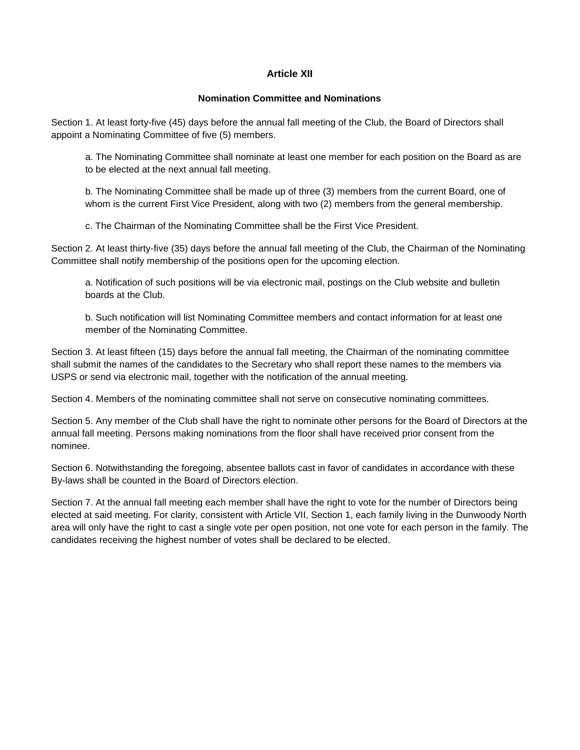# **Article XII**

### **Nomination Committee and Nominations**

Section 1. At least forty-five (45) days before the annual fall meeting of the Club, the Board of Directors shall appoint a Nominating Committee of five (5) members.

a. The Nominating Committee shall nominate at least one member for each position on the Board as are to be elected at the next annual fall meeting.

b. The Nominating Committee shall be made up of three (3) members from the current Board, one of whom is the current First Vice President, along with two (2) members from the general membership.

c. The Chairman of the Nominating Committee shall be the First Vice President.

Section 2. At least thirty-five (35) days before the annual fall meeting of the Club, the Chairman of the Nominating Committee shall notify membership of the positions open for the upcoming election.

a. Notification of such positions will be via electronic mail, postings on the Club website and bulletin boards at the Club.

b. Such notification will list Nominating Committee members and contact information for at least one member of the Nominating Committee.

Section 3. At least fifteen (15) days before the annual fall meeting, the Chairman of the nominating committee shall submit the names of the candidates to the Secretary who shall report these names to the members via USPS or send via electronic mail, together with the notification of the annual meeting.

Section 4. Members of the nominating committee shall not serve on consecutive nominating committees.

Section 5. Any member of the Club shall have the right to nominate other persons for the Board of Directors at the annual fall meeting. Persons making nominations from the floor shall have received prior consent from the nominee.

Section 6. Notwithstanding the foregoing, absentee ballots cast in favor of candidates in accordance with these By-laws shall be counted in the Board of Directors election.

Section 7. At the annual fall meeting each member shall have the right to vote for the number of Directors being elected at said meeting. For clarity, consistent with Article VII, Section 1, each family living in the Dunwoody North area will only have the right to cast a single vote per open position, not one vote for each person in the family. The candidates receiving the highest number of votes shall be declared to be elected.